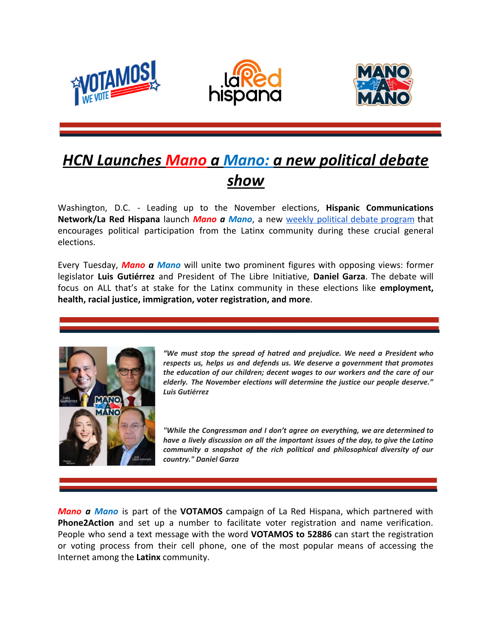





## *HCN Launches Mano a Mano: a new political debate show*

Washington, D.C. - Leading up to the November elections, **Hispanic Communications Network/La Red Hispana** launch *Mano a Mano*, a new weekly political debate [program](https://www.youtube.com/watch?v=ZgpIbLiZ40o&feature=youtu.be) that encourages political participation from the Latinx community during these crucial general elections.

Every Tuesday, *Mano a Mano* will unite two prominent figures with opposing views: former legislator **Luis Gutiérrez** and President of The Libre Initiative, **Daniel Garza**. The debate will focus on ALL that's at stake for the Latinx community in these elections like **employment, health, racial justice, immigration, voter registration, and more**.



*"We must stop the spread of hatred and prejudice. We need a President who respects us, helps us and defends us. We deserve a government that promotes the education of our children; decent wages to our workers and the care of our elderly. The November elections will determine the justice our people deserve." Luis Gutiérrez*

*"While the Congressman and I don't agree on everything, we are determined to have a lively discussion on all the important issues of the day, to give the Latino community a snapshot of the rich political and philosophical diversity of our country." Daniel Garza*

*Mano a Mano* is part of the **VOTAMOS** campaign of La Red Hispana, which partnered with **Phone2Action** and set up a number to facilitate voter registration and name verification. People who send a text message with the word **VOTAMOS to 52886** can start the registration or voting process from their cell phone, one of the most popular means of accessing the Internet among the **Latinx** community.